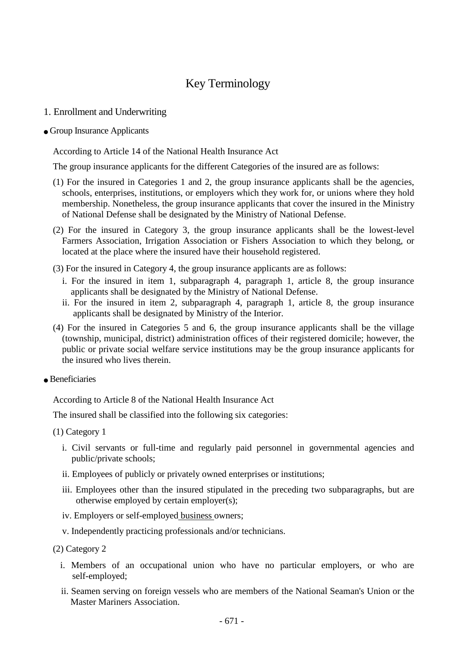# Key Terminology

## 1. Enrollment and Underwriting

#### ● Group Insurance Applicants

According to Article 14 of the National Health Insurance Act

The group insurance applicants for the different Categories of the insured are as follows:

- (1) For the insured in Categories 1 and 2, the group insurance applicants shall be the agencies, schools, enterprises, institutions, or employers which they work for, or unions where they hold membership. Nonetheless, the group insurance applicants that cover the insured in the Ministry of National Defense shall be designated by the Ministry of National Defense.
- (2) For the insured in Category 3, the group insurance applicants shall be the lowest-level Farmers Association, Irrigation Association or Fishers Association to which they belong, or located at the place where the insured have their household registered.
- (3) For the insured in Category 4, the group insurance applicants are as follows:
	- i. For the insured in item 1, subparagraph 4, paragraph 1, article 8, the group insurance applicants shall be designated by the Ministry of National Defense.
	- ii. For the insured in item 2, subparagraph 4, paragraph 1, article 8, the group insurance applicants shall be designated by Ministry of the Interior.
- (4) For the insured in Categories 5 and 6, the group insurance applicants shall be the village (township, municipal, district) administration offices of their registered domicile; however, the public or private social welfare service institutions may be the group insurance applicants for the insured who lives therein.
- $\bullet$  Beneficiaries

According to Article 8 of the National Health Insurance Act

The insured shall be classified into the following six categories:

(1) Category 1

- i. Civil servants or full-time and regularly paid personnel in governmental agencies and public/private schools;
- ii. Employees of publicly or privately owned enterprises or institutions;
- iii. Employees other than the insured stipulated in the preceding two subparagraphs, but are otherwise employed by certain employer(s);
- iv. Employers or self-employed business owners;
- v. Independently practicing professionals and/or technicians.

(2) Category 2

- i. Members of an occupational union who have no particular employers, or who are self-employed;
- ii. Seamen serving on foreign vessels who are members of the National Seaman's Union or the Master Mariners Association.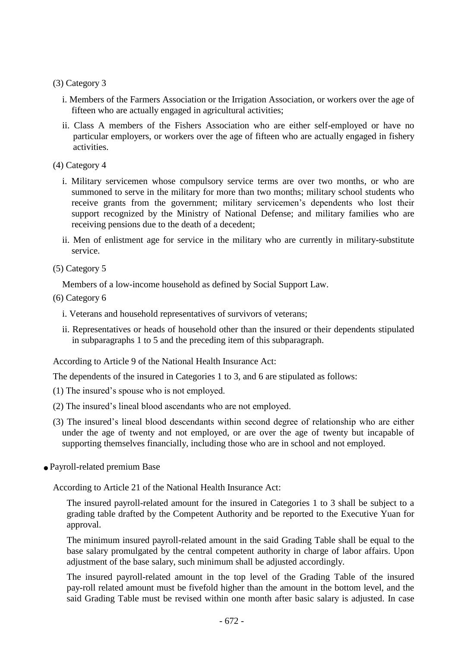(3) Category 3

- i. Members of the Farmers Association or the Irrigation Association, or workers over the age of fifteen who are actually engaged in agricultural activities;
- ii. Class A members of the Fishers Association who are either self-employed or have no particular employers, or workers over the age of fifteen who are actually engaged in fishery activities.

(4) Category 4

- i. Military servicemen whose compulsory service terms are over two months, or who are summoned to serve in the military for more than two months; military school students who receive grants from the government; military servicemen's dependents who lost their support recognized by the Ministry of National Defense; and military families who are receiving pensions due to the death of a decedent;
- ii. Men of enlistment age for service in the military who are currently in military-substitute service.

(5) Category 5

Members of a low-income household as defined by Social Support Law.

(6) Category 6

- i. Veterans and household representatives of survivors of veterans;
- ii. Representatives or heads of household other than the insured or their dependents stipulated in subparagraphs 1 to 5 and the preceding item of this subparagraph.

According to Article 9 of the National Health Insurance Act:

The dependents of the insured in Categories 1 to 3, and 6 are stipulated as follows:

- (1) The insured's spouse who is not employed.
- (2) The insured's lineal blood ascendants who are not employed.
- (3) The insured's lineal blood descendants within second degree of relationship who are either under the age of twenty and not employed, or are over the age of twenty but incapable of supporting themselves financially, including those who are in school and not employed.
- Payroll-related premium Base

According to Article 21 of the National Health Insurance Act:

The insured payroll-related amount for the insured in Categories 1 to 3 shall be subject to a grading table drafted by the Competent Authority and be reported to the Executive Yuan for approval.

The minimum insured payroll-related amount in the said Grading Table shall be equal to the base salary promulgated by the central competent authority in charge of labor affairs. Upon adjustment of the base salary, such minimum shall be adjusted accordingly.

The insured payroll-related amount in the top level of the Grading Table of the insured pay-roll related amount must be fivefold higher than the amount in the bottom level, and the said Grading Table must be revised within one month after basic salary is adjusted. In case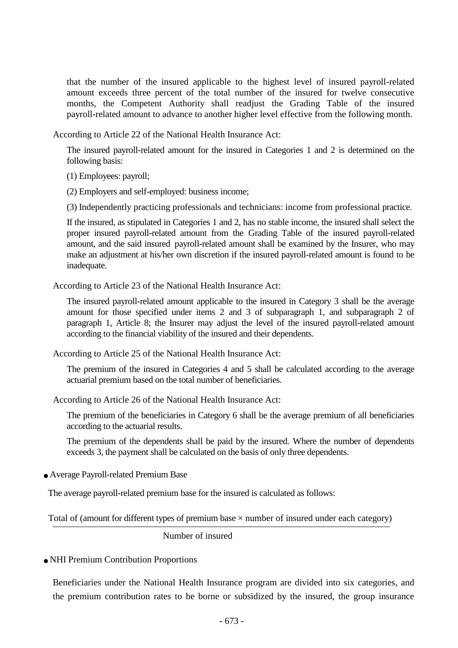that the number of the insured applicable to the highest level of insured payroll-related amount exceeds three percent of the total number of the insured for twelve consecutive months, the Competent Authority shall readjust the Grading Table of the insured payroll-related amount to advance to another higher level effective from the following month.

According to Article 22 of the National Health Insurance Act:

The insured payroll-related amount for the insured in Categories 1 and 2 is determined on the following basis:

(1) Employees: payroll;

(2) Employers and self-employed: business income;

(3) Independently practicing professionals and technicians: income from professional practice.

If the insured, as stipulated in Categories 1 and 2, has no stable income, the insured shall select the proper insured payroll-related amount from the Grading Table of the insured payroll-related amount, and the said insured payroll-related amount shall be examined by the Insurer, who may make an adjustment at his/her own discretion if the insured payroll-related amount is found to be inadequate.

According to Article 23 of the National Health Insurance Act:

The insured payroll-related amount applicable to the insured in Category 3 shall be the average amount for those specified under items 2 and 3 of subparagraph 1, and subparagraph 2 of paragraph 1, Article 8; the Insurer may adjust the level of the insured payroll-related amount according to the financial viability of the insured and their dependents.

According to Article 25 of the National Health Insurance Act:

The premium of the insured in Categories 4 and 5 shall be calculated according to the average actuarial premium based on the total number of beneficiaries.

According to Article 26 of the National Health Insurance Act:

The premium of the beneficiaries in Category 6 shall be the average premium of all beneficiaries according to the actuarial results.

The premium of the dependents shall be paid by the insured. Where the number of dependents exceeds 3, the payment shall be calculated on the basis of only three dependents.

● Average Payroll-related Premium Base

The average payroll-related premium base for the insured is calculated as follows:

 $\overline{a}$  $\ddot{ }$ Total of (amount for different types of premium base  $\times$  number of insured under each category)

Number of insured

● NHI Premium Contribution Proportions

Beneficiaries under the National Health Insurance program are divided into six categories, and the premium contribution rates to be borne or subsidized by the insured, the group insurance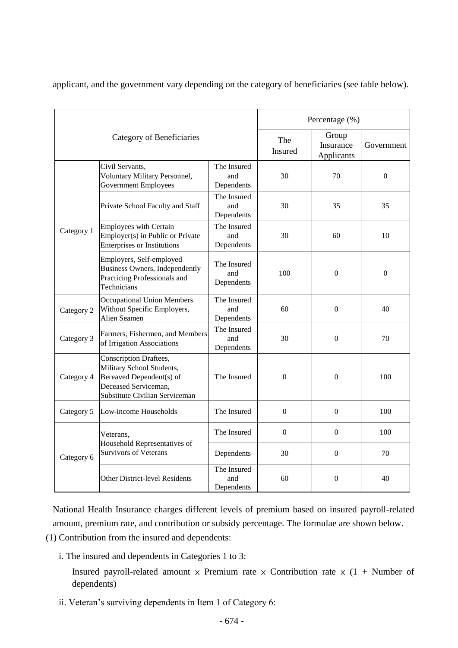applicant, and the government vary depending on the category of beneficiaries (see table below).

| Category of Beneficiaries |                                                                                                                                           |                                  | Percentage (%)   |                                  |            |
|---------------------------|-------------------------------------------------------------------------------------------------------------------------------------------|----------------------------------|------------------|----------------------------------|------------|
|                           |                                                                                                                                           |                                  | The<br>Insured   | Group<br>Insurance<br>Applicants | Government |
| Category 1                | Civil Servants,<br>Voluntary Military Personnel,<br><b>Government Employees</b>                                                           | The Insured<br>and<br>Dependents | 30               | 70                               | $\Omega$   |
|                           | Private School Faculty and Staff                                                                                                          | The Insured<br>and<br>Dependents | 30               | 35                               | 35         |
|                           | <b>Employees with Certain</b><br>Employer(s) in Public or Private<br><b>Enterprises or Institutions</b>                                   | The Insured<br>and<br>Dependents | 30               | 60                               | 10         |
|                           | Employers, Self-employed<br><b>Business Owners, Independently</b><br>Practicing Professionals and<br>Technicians                          | The Insured<br>and<br>Dependents | 100              | $\Omega$                         | $\Omega$   |
| Category 2                | <b>Occupational Union Members</b><br>Without Specific Employers,<br>Alien Seamen                                                          | The Insured<br>and<br>Dependents | 60               | $\Omega$                         | 40         |
| Category 3                | Farmers, Fishermen, and Members<br>of Irrigation Associations                                                                             | The Insured<br>and<br>Dependents | 30               | $\Omega$                         | 70         |
| Category 4                | Conscription Draftees,<br>Military School Students,<br>Bereaved Dependent(s) of<br>Deceased Serviceman,<br>Substitute Civilian Serviceman | The Insured                      | $\mathbf{0}$     | $\mathbf{0}$                     | 100        |
| Category 5                | Low-income Households                                                                                                                     | The Insured                      | $\boldsymbol{0}$ | $\Omega$                         | 100        |
| Category 6                | Veterans,<br>Household Representatives of<br><b>Survivors of Veterans</b>                                                                 | The Insured                      | $\boldsymbol{0}$ | $\overline{0}$                   | 100        |
|                           |                                                                                                                                           | Dependents                       | 30               | $\mathbf{0}$                     | 70         |
|                           | Other District-level Residents                                                                                                            | The Insured<br>and<br>Dependents | 60               | $\Omega$                         | 40         |

National Health Insurance charges different levels of premium based on insured payroll-related amount, premium rate, and contribution or subsidy percentage. The formulae are shown below.

- (1) Contribution from the insured and dependents:
	- i. The insured and dependents in Categories 1 to 3:

Insured payroll-related amount  $\times$  Premium rate  $\times$  Contribution rate  $\times$  (1 + Number of dependents)

ii. Veteran's surviving dependents in Item 1 of Category 6: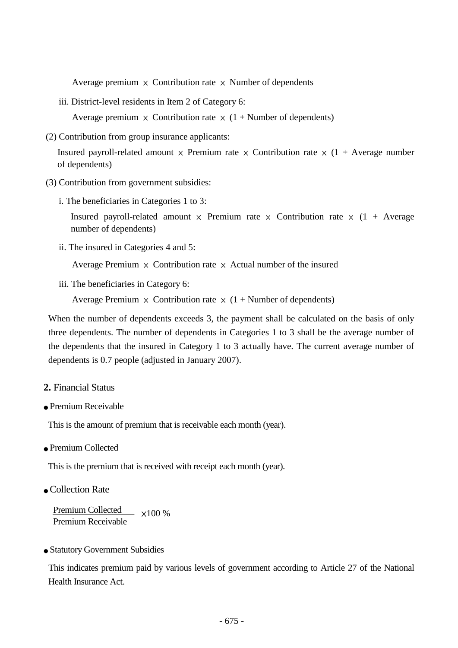Average premium  $\times$  Contribution rate  $\times$  Number of dependents

iii. District-level residents in Item 2 of Category 6:

Average premium  $\times$  Contribution rate  $\times$  (1 + Number of dependents)

(2) Contribution from group insurance applicants:

Insured payroll-related amount  $\times$  Premium rate  $\times$  Contribution rate  $\times$  (1 + Average number of dependents)

- (3) Contribution from government subsidies:
	- i. The beneficiaries in Categories 1 to 3:

Insured payroll-related amount  $\times$  Premium rate  $\times$  Contribution rate  $\times$  (1 + Average number of dependents)

ii. The insured in Categories 4 and 5:

Average Premium  $\times$  Contribution rate  $\times$  Actual number of the insured

iii. The beneficiaries in Category 6:

Average Premium  $\times$  Contribution rate  $\times$  (1 + Number of dependents)

When the number of dependents exceeds 3, the payment shall be calculated on the basis of only three dependents. The number of dependents in Categories 1 to 3 shall be the average number of the dependents that the insured in Category 1 to 3 actually have. The current average number of dependents is 0.7 people (adjusted in January 2007).

- **2.** Financial Status
- Premium Receivable

This is the amount of premium that is receivable each month (year).

• Premium Collected

This is the premium that is received with receipt each month (year).

● Collection Rate

Premium Collected x100 % Premium Receivable

● Statutory Government Subsidies

This indicates premium paid by various levels of government according to Article 27 of the National Health Insurance Act.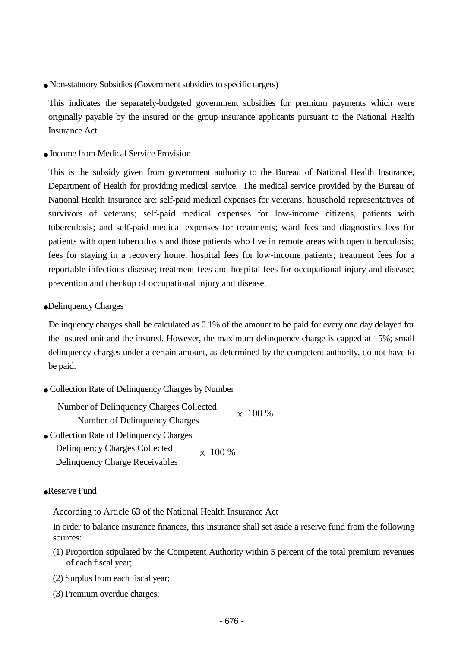● Non-statutory Subsidies(Government subsidies to specific targets)

This indicates the separately-budgeted government subsidies for premium payments which were originally payable by the insured or the group insurance applicants pursuant to the National Health Insurance Act.

● Income from Medical Service Provision

This is the subsidy given from government authority to the Bureau of National Health Insurance, Department of Health for providing medical service. The medical service provided by the Bureau of National Health Insurance are: self-paid medical expenses for veterans, household representatives of survivors of veterans; self-paid medical expenses for low-income citizens, patients with tuberculosis; and self-paid medical expenses for treatments; ward fees and diagnostics fees for patients with open tuberculosis and those patients who live in remote areas with open tuberculosis; fees for staying in a recovery home; hospital fees for low-income patients; treatment fees for a reportable infectious disease; treatment fees and hospital fees for occupational injury and disease; prevention and checkup of occupational injury and disease.

●Delinquency Charges

Delinquency charges shall be calculated as 0.1% of the amount to be paid for every one day delayed for the insured unit and the insured. However, the maximum delinquency charge is capped at 15%; small delinquency charges under a certain amount, as determined by the competent authority, do not have to be paid.

● Collection Rate of Delinquency Charges by Number

```
● Collection Rate of Delinquency Charges
                                               - \times 100 \%Number of Delinquency Charges Collected
       Number of Delinquency Charges
Delinquency Charges Collected
Delinquency Charge Receivables
                                  \sim \times 100\%
```
#### ●Reserve Fund

According to Article 63 of the National Health Insurance Act

In order to balance insurance finances, this Insurance shall set aside a reserve fund from the following sources:

- (1) Proportion stipulated by the Competent Authority within 5 percent of the total premium revenues of each fiscal year;
- (2) Surplus from each fiscal year;
- (3) Premium overdue charges;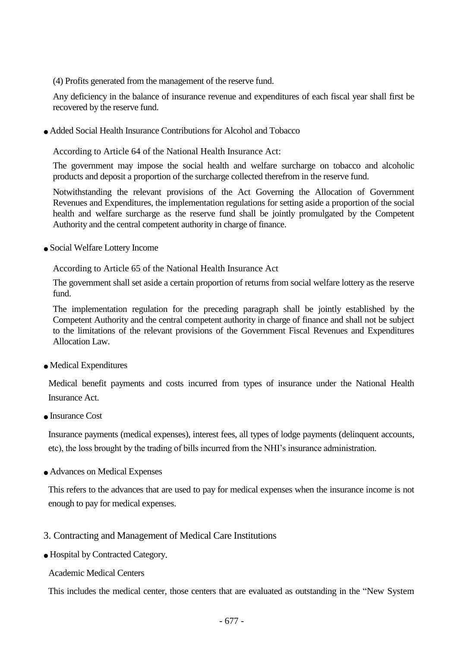(4) Profits generated from the management of the reserve fund.

Any deficiency in the balance of insurance revenue and expenditures of each fiscal year shall first be recovered by the reserve fund.

● Added Social Health Insurance Contributions for Alcohol and Tobacco

According to Article 64 of the National Health Insurance Act:

The government may impose the social health and welfare surcharge on tobacco and alcoholic products and deposit a proportion of the surcharge collected therefrom in the reserve fund.

Notwithstanding the relevant provisions of the Act Governing the Allocation of Government Revenues and Expenditures, the implementation regulations for setting aside a proportion of the social health and welfare surcharge as the reserve fund shall be jointly promulgated by the Competent Authority and the central competent authority in charge of finance.

● Social Welfare Lottery Income

According to Article 65 of the National Health Insurance Act

The government shall set aside a certain proportion of returns from social welfare lottery as the reserve fund.

The implementation regulation for the preceding paragraph shall be jointly established by the Competent Authority and the central competent authority in charge of finance and shall not be subject to the limitations of the relevant provisions of the Government Fiscal Revenues and Expenditures Allocation Law.

● Medical Expenditures

Medical benefit payments and costs incurred from types of insurance under the National Health Insurance Act.

● Insurance Cost

Insurance payments (medical expenses), interest fees, all types of lodge payments (delinquent accounts, etc), the loss brought by the trading of bills incurred from the NHI's insurance administration.

● Advances on Medical Expenses

This refers to the advances that are used to pay for medical expenses when the insurance income is not enough to pay for medical expenses.

- 3. Contracting and Management of Medical Care Institutions
- Hospital by Contracted Category.
	- Academic Medical Centers

This includes the medical center, those centers that are evaluated as outstanding in the "New System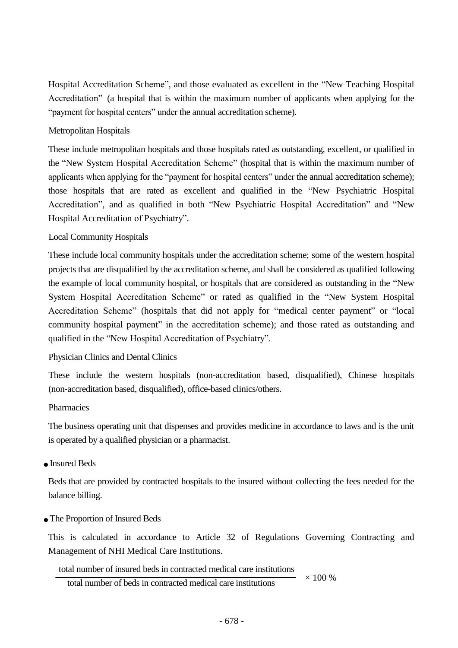Hospital Accreditation Scheme", and those evaluated as excellent in the "New Teaching Hospital Accreditation" (a hospital that is within the maximum number of applicants when applying for the "payment for hospital centers" under the annual accreditation scheme).

## Metropolitan Hospitals

These include metropolitan hospitals and those hospitals rated as outstanding, excellent, or qualified in the "New System Hospital Accreditation Scheme" (hospital that is within the maximum number of applicants when applying for the "payment for hospital centers" under the annual accreditation scheme); those hospitals that are rated as excellent and qualified in the "New Psychiatric Hospital Accreditation", and as qualified in both "New Psychiatric Hospital Accreditation" and "New Hospital Accreditation of Psychiatry".

## Local Community Hospitals

These include local community hospitals under the accreditation scheme; some of the western hospital projects that are disqualified by the accreditation scheme, and shall be considered as qualified following the example of local community hospital, or hospitals that are considered as outstanding in the "New System Hospital Accreditation Scheme" or rated as qualified in the "New System Hospital Accreditation Scheme" (hospitals that did not apply for "medical center payment" or "local community hospital payment" in the accreditation scheme); and those rated as outstanding and qualified in the "New Hospital Accreditation of Psychiatry".

## Physician Clinics and Dental Clinics

These include the western hospitals (non-accreditation based, disqualified), Chinese hospitals (non-accreditation based, disqualified), office-based clinics/others.

#### Pharmacies

The business operating unit that dispenses and provides medicine in accordance to laws and is the unit is operated by a qualified physician or a pharmacist.

## • Insured Beds

Beds that are provided by contracted hospitals to the insured without collecting the fees needed for the balance billing.

## ● The Proportion of Insured Beds

This is calculated in accordance to Article 32 of Regulations Governing Contracting and Management of NHI Medical Care Institutions.

## total number of insured beds in contracted medical care institutions

total number of beds in contracted medical care institutions  $\times 100\%$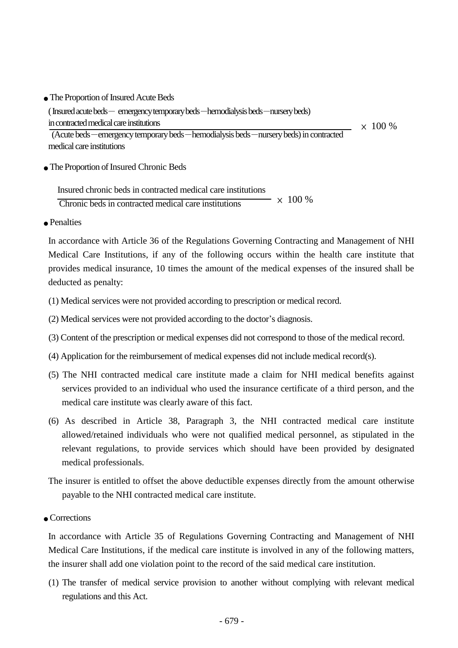• The Proportion of Insured Acute Beds

( Insured acute beds- emergency temporary beds-hemodialysis beds-nursery beds) in contracted medical care institutions  $\times$  100 %

(Acute beds-emergency temporary beds-hemodialysis beds-nursery beds) in contracted medical care institutions

● The Proportion of Insured Chronic Beds

 Insured chronic beds in contracted medical care institutions Chronic beds in contracted medical care institutions  $\sim$   $\times$  100 %

● Penalties

In accordance with Article 36 of the Regulations Governing Contracting and Management of NHI Medical Care Institutions, if any of the following occurs within the health care institute that provides medical insurance, 10 times the amount of the medical expenses of the insured shall be deducted as penalty:

- (1) Medical services were not provided according to prescription or medical record.
- (2) Medical services were not provided according to the doctor's diagnosis.
- (3) Content of the prescription or medical expenses did not correspond to those of the medical record.
- (4) Application for the reimbursement of medical expenses did not include medical record(s).
- (5) The NHI contracted medical care institute made a claim for NHI medical benefits against services provided to an individual who used the insurance certificate of a third person, and the medical care institute was clearly aware of this fact.
- (6) As described in Article 38, Paragraph 3, the NHI contracted medical care institute allowed/retained individuals who were not qualified medical personnel, as stipulated in the relevant regulations, to provide services which should have been provided by designated medical professionals.
- The insurer is entitled to offset the above deductible expenses directly from the amount otherwise payable to the NHI contracted medical care institute.
- Corrections

In accordance with Article 35 of Regulations Governing Contracting and Management of NHI Medical Care Institutions, if the medical care institute is involved in any of the following matters, the insurer shall add one violation point to the record of the said medical care institution.

(1) The transfer of medical service provision to another without complying with relevant medical regulations and this Act.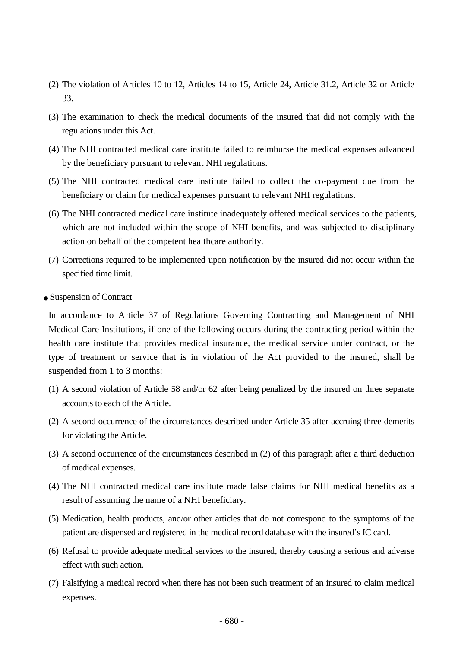- (2) The violation of Articles 10 to 12, Articles 14 to 15, Article 24, Article 31.2, Article 32 or Article 33.
- (3) The examination to check the medical documents of the insured that did not comply with the regulations under this Act.
- (4) The NHI contracted medical care institute failed to reimburse the medical expenses advanced by the beneficiary pursuant to relevant NHI regulations.
- (5) The NHI contracted medical care institute failed to collect the co-payment due from the beneficiary or claim for medical expenses pursuant to relevant NHI regulations.
- (6) The NHI contracted medical care institute inadequately offered medical services to the patients, which are not included within the scope of NHI benefits, and was subjected to disciplinary action on behalf of the competent healthcare authority.
- (7) Corrections required to be implemented upon notification by the insured did not occur within the specified time limit.
- Suspension of Contract

In accordance to Article 37 of Regulations Governing Contracting and Management of NHI Medical Care Institutions, if one of the following occurs during the contracting period within the health care institute that provides medical insurance, the medical service under contract, or the type of treatment or service that is in violation of the Act provided to the insured, shall be suspended from 1 to 3 months:

- (1) A second violation of Article 58 and/or 62 after being penalized by the insured on three separate accounts to each of the Article.
- (2) A second occurrence of the circumstances described under Article 35 after accruing three demerits for violating the Article.
- (3) A second occurrence of the circumstances described in (2) of this paragraph after a third deduction of medical expenses.
- (4) The NHI contracted medical care institute made false claims for NHI medical benefits as a result of assuming the name of a NHI beneficiary.
- (5) Medication, health products, and/or other articles that do not correspond to the symptoms of the patient are dispensed and registered in the medical record database with the insured's IC card.
- (6) Refusal to provide adequate medical services to the insured, thereby causing a serious and adverse effect with such action.
- (7) Falsifying a medical record when there has not been such treatment of an insured to claim medical expenses.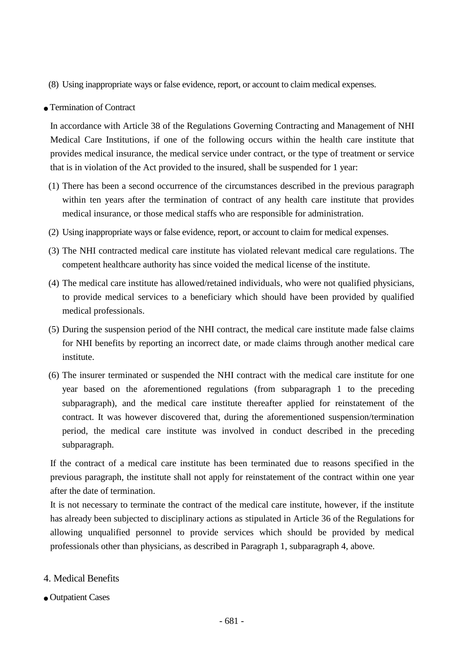- (8) Using inappropriate ways or false evidence, report, or account to claim medical expenses.
- Termination of Contract

In accordance with Article 38 of the Regulations Governing Contracting and Management of NHI Medical Care Institutions, if one of the following occurs within the health care institute that provides medical insurance, the medical service under contract, or the type of treatment or service that is in violation of the Act provided to the insured, shall be suspended for 1 year:

- (1) There has been a second occurrence of the circumstances described in the previous paragraph within ten years after the termination of contract of any health care institute that provides medical insurance, or those medical staffs who are responsible for administration.
- (2) Using inappropriate ways or false evidence, report, or account to claim for medical expenses.
- (3) The NHI contracted medical care institute has violated relevant medical care regulations. The competent healthcare authority has since voided the medical license of the institute.
- (4) The medical care institute has allowed/retained individuals, who were not qualified physicians, to provide medical services to a beneficiary which should have been provided by qualified medical professionals.
- (5) During the suspension period of the NHI contract, the medical care institute made false claims for NHI benefits by reporting an incorrect date, or made claims through another medical care institute.
- (6) The insurer terminated or suspended the NHI contract with the medical care institute for one year based on the aforementioned regulations (from subparagraph 1 to the preceding subparagraph), and the medical care institute thereafter applied for reinstatement of the contract. It was however discovered that, during the aforementioned suspension/termination period, the medical care institute was involved in conduct described in the preceding subparagraph.

If the contract of a medical care institute has been terminated due to reasons specified in the previous paragraph, the institute shall not apply for reinstatement of the contract within one year after the date of termination.

It is not necessary to terminate the contract of the medical care institute, however, if the institute has already been subjected to disciplinary actions as stipulated in Article 36 of the Regulations for allowing unqualified personnel to provide services which should be provided by medical professionals other than physicians, as described in Paragraph 1, subparagraph 4, above.

- 4. Medical Benefits
- Outpatient Cases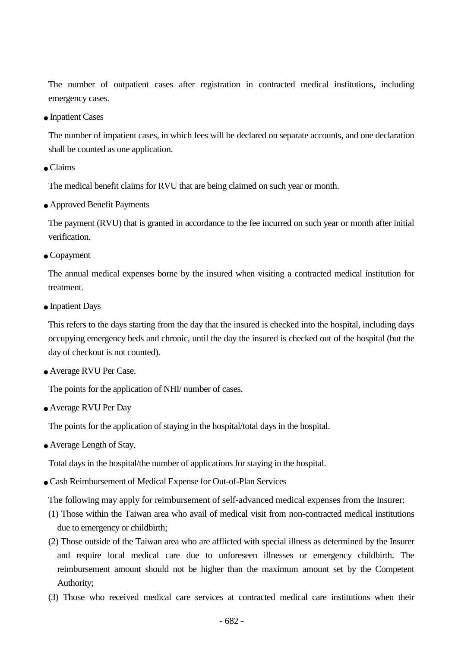The number of outpatient cases after registration in contracted medical institutions, including emergency cases.

● Inpatient Cases

The number of impatient cases, in which fees will be declared on separate accounts, and one declaration shall be counted as one application.

● Claims

The medical benefit claims for RVU that are being claimed on such year or month.

● Approved Benefit Payments

The payment (RVU) that is granted in accordance to the fee incurred on such year or month after initial verification.

● Copayment

The annual medical expenses borne by the insured when visiting a contracted medical institution for treatment.

• Inpatient Days

This refers to the days starting from the day that the insured is checked into the hospital, including days occupying emergency beds and chronic, until the day the insured is checked out of the hospital (but the day of checkout is not counted).

● Average RVU Per Case.

The points for the application of NHI/ number of cases.

● Average RVU Per Day

The points for the application of staying in the hospital/total days in the hospital.

• Average Length of Stay.

Total days in the hospital/the number of applications for staying in the hospital.

● Cash Reimbursement of Medical Expense for Out-of-Plan Services

The following may apply for reimbursement of self-advanced medical expenses from the Insurer:

- (1) Those within the Taiwan area who avail of medical visit from non-contracted medical institutions due to emergency or childbirth;
- (2) Those outside of the Taiwan area who are afflicted with special illness as determined by the Insurer and require local medical care due to unforeseen illnesses or emergency childbirth. The reimbursement amount should not be higher than the maximum amount set by the Competent Authority;
- (3) Those who received medical care services at contracted medical care institutions when their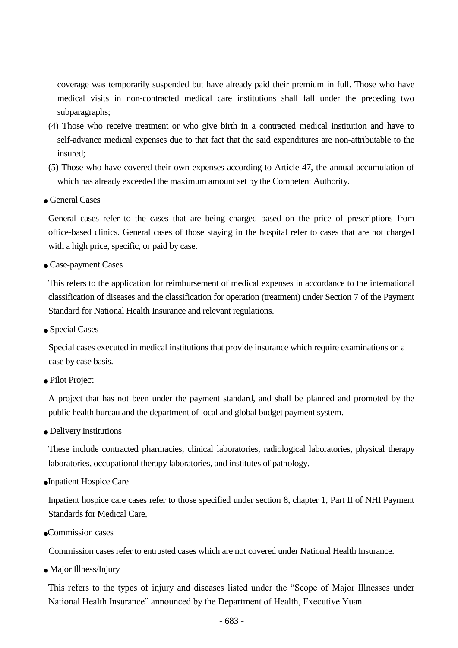coverage was temporarily suspended but have already paid their premium in full. Those who have medical visits in non-contracted medical care institutions shall fall under the preceding two subparagraphs;

- (4) Those who receive treatment or who give birth in a contracted medical institution and have to self-advance medical expenses due to that fact that the said expenditures are non-attributable to the insured;
- (5) Those who have covered their own expenses according to Article 47, the annual accumulation of which has already exceeded the maximum amount set by the Competent Authority.
- General Cases

General cases refer to the cases that are being charged based on the price of prescriptions from office-based clinics. General cases of those staying in the hospital refer to cases that are not charged with a high price, specific, or paid by case.

● Case-payment Cases

This refers to the application for reimbursement of medical expenses in accordance to the international classification of diseases and the classification for operation (treatment) under Section 7 of the Payment Standard for National Health Insurance and relevant regulations.

• Special Cases

Special cases executed in medical institutions that provide insurance which require examinations on a case by case basis.

● Pilot Project

A project that has not been under the payment standard, and shall be planned and promoted by the public health bureau and the department of local and global budget payment system.

● Delivery Institutions

These include contracted pharmacies, clinical laboratories, radiological laboratories, physical therapy laboratories, occupational therapy laboratories, and institutes of pathology.

●Inpatient Hospice Care

Inpatient hospice care cases refer to those specified under section 8, chapter 1, Part II of NHI Payment Standards for Medical Care.

●Commission cases

Commission cases refer to entrusted cases which are not covered under National Health Insurance.

● Major Illness/Injury

This refers to the types of injury and diseases listed under the "Scope of Major Illnesses under National Health Insurance" announced by the Department of Health, Executive Yuan.